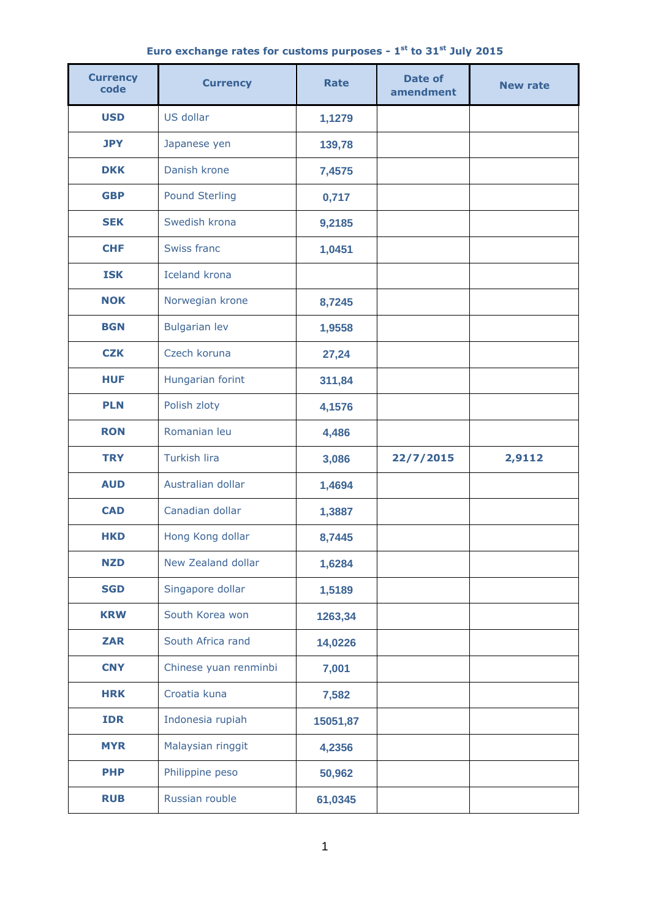|  | Euro exchange rates for customs purposes - $1st$ to 31 $st$ July 2015 |  |  |  |  |
|--|-----------------------------------------------------------------------|--|--|--|--|
|  |                                                                       |  |  |  |  |

| <b>Currency</b><br>code | <b>Currency</b>       | <b>Rate</b> | <b>Date of</b><br>amendment | <b>New rate</b> |  |
|-------------------------|-----------------------|-------------|-----------------------------|-----------------|--|
| <b>USD</b>              | US dollar             | 1,1279      |                             |                 |  |
| <b>JPY</b>              | Japanese yen          | 139,78      |                             |                 |  |
| <b>DKK</b>              | Danish krone          | 7,4575      |                             |                 |  |
| <b>GBP</b>              | <b>Pound Sterling</b> | 0,717       |                             |                 |  |
| <b>SEK</b>              | Swedish krona         | 9,2185      |                             |                 |  |
| <b>CHF</b>              | Swiss franc           | 1,0451      |                             |                 |  |
| <b>ISK</b>              | <b>Iceland krona</b>  |             |                             |                 |  |
| <b>NOK</b>              | Norwegian krone       | 8,7245      |                             |                 |  |
| <b>BGN</b>              | <b>Bulgarian lev</b>  | 1,9558      |                             |                 |  |
| <b>CZK</b>              | Czech koruna          | 27,24       |                             |                 |  |
| <b>HUF</b>              | Hungarian forint      | 311,84      |                             |                 |  |
| <b>PLN</b>              | Polish zloty          | 4,1576      |                             |                 |  |
| <b>RON</b>              | Romanian leu          | 4,486       |                             |                 |  |
| <b>TRY</b>              | <b>Turkish lira</b>   | 3,086       | 22/7/2015                   | 2,9112          |  |
| <b>AUD</b>              | Australian dollar     | 1,4694      |                             |                 |  |
| <b>CAD</b>              | Canadian dollar       | 1,3887      |                             |                 |  |
| <b>HKD</b>              | Hong Kong dollar      | 8,7445      |                             |                 |  |
| <b>NZD</b>              | New Zealand dollar    | 1,6284      |                             |                 |  |
| <b>SGD</b>              | Singapore dollar      | 1,5189      |                             |                 |  |
| <b>KRW</b>              | South Korea won       | 1263,34     |                             |                 |  |
| <b>ZAR</b>              | South Africa rand     | 14,0226     |                             |                 |  |
| <b>CNY</b>              | Chinese yuan renminbi | 7,001       |                             |                 |  |
| <b>HRK</b>              | Croatia kuna          | 7,582       |                             |                 |  |
| <b>IDR</b>              | Indonesia rupiah      | 15051,87    |                             |                 |  |
| <b>MYR</b>              | Malaysian ringgit     | 4,2356      |                             |                 |  |
| <b>PHP</b>              | Philippine peso       | 50,962      |                             |                 |  |
| <b>RUB</b>              | Russian rouble        | 61,0345     |                             |                 |  |